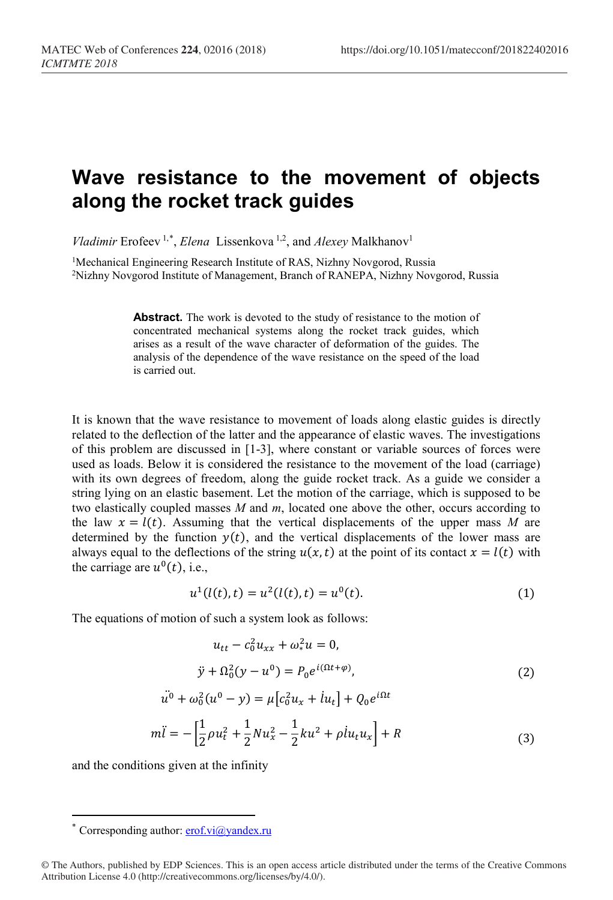## **Wave resistance to the movement of objects along the rocket track guides**

*Vladimir* Erofeev<sup>1,[\\*](#page-0-0)</sup>, *Elena* Lissenkova<sup>1,2</sup>, and *Alexey* Malkhanov<sup>1</sup>

<sup>1</sup>Mechanical Engineering Research Institute of RAS, Nizhny Novgorod, Russia 2Nizhny Novgorod Institute of Management, Branch of RANEPA, Nizhny Novgorod, Russia

> Abstract. The work is devoted to the study of resistance to the motion of concentrated mechanical systems along the rocket track guides, which arises as a result of the wave character of deformation of the guides. The analysis of the dependence of the wave resistance on the speed of the load is carried out.

It is known that the wave resistance to movement of loads along elastic guides is directly related to the deflection of the latter and the appearance of elastic waves. The investigations of this problem are discussed in [1-3], where constant or variable sources of forces were used as loads. Below it is considered the resistance to the movement of the load (carriage) with its own degrees of freedom, along the guide rocket track. As a guide we consider a string lying on an elastic basement. Let the motion of the carriage, which is supposed to be two elastically coupled masses *M* and *m*, located one above the other, occurs according to the law  $x = l(t)$ . Assuming that the vertical displacements of the upper mass M are determined by the function  $y(t)$ , and the vertical displacements of the lower mass are always equal to the deflections of the string  $u(x,t)$  at the point of its contact  $x = l(t)$  with the carriage are  $u^0(t)$ , i.e.,

$$
u^{1}(l(t), t) = u^{2}(l(t), t) = u^{0}(t).
$$
\n(1)

The equations of motion of such a system look as follows:

$$
u_{tt} - c_0^2 u_{xx} + \omega_*^2 u = 0,
$$
  
\n
$$
\ddot{y} + \Omega_0^2 (y - u^0) = P_0 e^{i(\Omega t + \varphi)},
$$
  
\n
$$
\ddot{u}^0 + \omega_0^2 (u^0 - y) = \mu [c_0^2 u_x + i u_t] + Q_0 e^{i\Omega t}
$$
\n(2)

$$
m\ddot{l} = -\left[\frac{1}{2}\rho u_t^2 + \frac{1}{2}Nu_x^2 - \frac{1}{2}ku^2 + \rho l u_t u_x\right] + R
$$
\n(3)

and the conditions given at the infinity

 $\overline{a}$ 

Corresponding author:  $erof.vi@yandex.ru$ 

<span id="page-0-0"></span><sup>©</sup> The Authors, published by EDP Sciences. This is an open access article distributed under the terms of the Creative Commons Attribution License 4.0 (http://creativecommons.org/licenses/by/4.0/).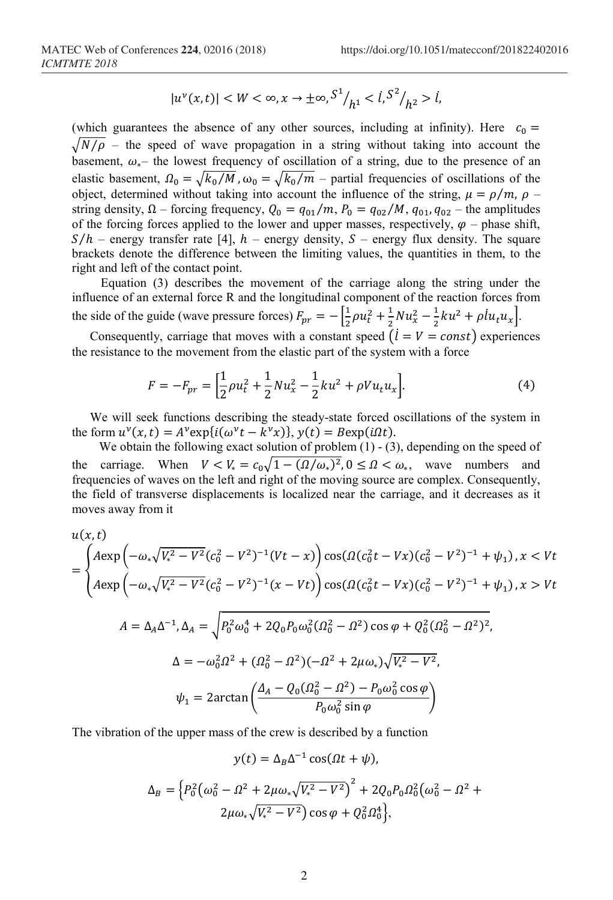$$
|u^{\nu}(x,t)| < W < \infty, x \to \pm \infty, \frac{S^1}{h^1} < \frac{i}{s^2}{h^2} > i,
$$

(which guarantees the absence of any other sources, including at infinity). Here  $c_0 =$  $\sqrt{N/\rho}$  – the speed of wave propagation in a string without taking into account the basement,  $\omega_*$ – the lowest frequency of oscillation of a string, due to the presence of an elastic basement,  $\Omega_0 = \sqrt{k_0 / M}$ ,  $\omega_0 = \sqrt{k_0 / m}$  – partial frequencies of oscillations of the object, determined without taking into account the influence of the string,  $\mu = \rho/m$ ,  $\rho$  – string density,  $\Omega$  – forcing frequency,  $Q_0 = q_{01}/m$ ,  $P_0 = q_{02}/M$ ,  $q_{01}, q_{02}$  – the amplitudes of the forcing forces applied to the lower and upper masses, respectively,  $\varphi$  – phase shift,  $S/h$  – energy transfer rate [4],  $h$  – energy density,  $S$  – energy flux density. The square brackets denote the difference between the limiting values, the quantities in them, to the right and left of the contact point.

Equation (3) describes the movement of the carriage along the string under the influence of an external force R and the longitudinal component of the reaction forces from the side of the guide (wave pressure forces)  $F_{pr} = -\left[\frac{1}{2}\rho u_t^2 + \frac{1}{2}Nu_x^2 - \frac{1}{2}ku^2 + \rho l u_t u_x\right]$ .

Consequently, carriage that moves with a constant speed  $(i = V = const)$  experiences the resistance to the movement from the elastic part of the system with a force

$$
F = -F_{pr} = \left[\frac{1}{2}\rho u_t^2 + \frac{1}{2}Nu_x^2 - \frac{1}{2}ku^2 + \rho Vu_t u_x\right].
$$
 (4)

We will seek functions describing the steady-state forced oscillations of the system in the form  $u^{\nu}(x,t) = A^{\nu} \exp{i(\omega^{\nu} t - k^{\nu} x)}$ ,  $y(t) = B \exp(i\Omega t)$ .

We obtain the following exact solution of problem  $(1)$  -  $(3)$ , depending on the speed of the carriage. When  $V < V_* = c_0 \sqrt{1 - (\Omega/\omega_*)^2}$ ,  $0 \le \Omega < \omega_*$ , wave numbers and frequencies of waves on the left and right of the moving source are complex. Consequently, the field of transverse displacements is localized near the carriage, and it decreases as it moves away from it

$$
u(x,t)
$$
  
= 
$$
\begin{cases} A \exp\left(-\omega_{*}\sqrt{V_{*}^{2}-V^{2}}(c_{0}^{2}-V^{2})^{-1}(Vt-x)\right)\cos(\Omega(c_{0}^{2}t-Vx)(c_{0}^{2}-V^{2})^{-1}+\psi_{1}), x < Vt \\ A \exp\left(-\omega_{*}\sqrt{V_{*}^{2}-V^{2}}(c_{0}^{2}-V^{2})^{-1}(x-Vt)\right)\cos(\Omega(c_{0}^{2}t-Vx)(c_{0}^{2}-V^{2})^{-1}+\psi_{1}), x > Vt \end{cases}
$$
  

$$
A = \Delta_{A}\Delta^{-1}, \Delta_{A} = \sqrt{P_{0}^{2}\omega_{0}^{4} + 2Q_{0}P_{0}\omega_{0}^{2}(\Omega_{0}^{2}-\Omega^{2})\cos\varphi + Q_{0}^{2}(\Omega_{0}^{2}-\Omega^{2})^{2}},
$$
  

$$
\Delta = -\omega_{0}^{2}\Omega^{2} + (\Omega_{0}^{2}-\Omega^{2})(-\Omega^{2}+2\mu\omega_{*})\sqrt{V_{*}^{2}-V^{2}},
$$
  

$$
\psi_{1} = 2\arctan\left(\frac{\Delta_{A} - Q_{0}(\Omega_{0}^{2}-\Omega^{2}) - P_{0}\omega_{0}^{2}\cos\varphi}{P_{0}\omega_{0}^{2}\sin\varphi}\right)
$$

The vibration of the upper mass of the crew is described by a function

$$
y(t) = \Delta_B \Delta^{-1} \cos(\Omega t + \psi),
$$

$$
\Delta_B = \left\{ P_0^2 \left( \omega_0^2 - \Omega^2 + 2\mu \omega_* \sqrt{V_*^2 - V^2} \right)^2 + 2Q_0 P_0 \Omega_0^2 \left( \omega_0^2 - \Omega^2 + 2\mu \omega_* \sqrt{V_*^2 - V^2} \right) \cos \varphi + Q_0^2 \Omega_0^4 \right\},\
$$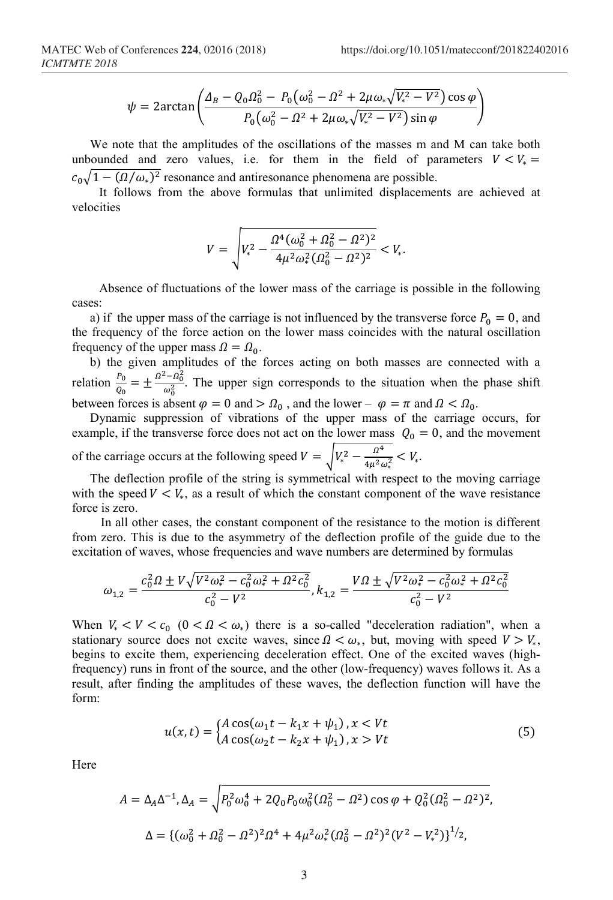$$
\psi = 2\arctan\left(\frac{\Delta_B - Q_0 \Omega_0^2 - P_0(\omega_0^2 - \Omega^2 + 2\mu \omega_* \sqrt{V_*^2 - V^2})\cos\varphi}{P_0(\omega_0^2 - \Omega^2 + 2\mu \omega_* \sqrt{V_*^2 - V^2})\sin\varphi}\right)
$$

We note that the amplitudes of the oscillations of the masses m and M can take both unbounded and zero values, i.e. for them in the field of parameters  $V < V_* =$  $c_0\sqrt{1-(\Omega/\omega_*)^2}$  resonance and antiresonance phenomena are possible.

It follows from the above formulas that unlimited displacements are achieved at velocities

$$
V = \sqrt{V_*^2 - \frac{\Omega^4 (\omega_0^2 + \Omega_0^2 - \Omega^2)^2}{4\mu^2 \omega_*^2 (\Omega_0^2 - \Omega^2)^2}} < V_*.
$$

Absence of fluctuations of the lower mass of the carriage is possible in the following cases:

a) if the upper mass of the carriage is not influenced by the transverse force  $P_0 = 0$ , and the frequency of the force action on the lower mass coincides with the natural oscillation frequency of the upper mass  $\Omega = \Omega_0$ .

b) the given amplitudes of the forces acting on both masses are connected with a relation  $\frac{P_0}{Q_0} = \pm \frac{\Omega^2 - \Omega_0^2}{\omega_0^2}$  $\frac{-u_0}{\omega_0^2}$ . The upper sign corresponds to the situation when the phase shift between forces is absent  $\varphi = 0$  and  $> \Omega_0$ , and the lower –  $\varphi = \pi$  and  $\Omega < \Omega_0$ .

Dynamic suppression of vibrations of the upper mass of the carriage occurs, for example, if the transverse force does not act on the lower mass  $Q_0 = 0$ , and the movement of the carriage occurs at the following speed  $V = \sqrt{V_*^2 - \frac{\Omega^4}{4\mu^2 \omega_*^2}} < V_*$ .

The deflection profile of the string is symmetrical with respect to the moving carriage with the speed  $V \lt V_*$ , as a result of which the constant component of the wave resistance force is zero.

In all other cases, the constant component of the resistance to the motion is different from zero. This is due to the asymmetry of the deflection profile of the guide due to the excitation of waves, whose frequencies and wave numbers are determined by formulas

$$
\omega_{1,2} = \frac{c_0^2 \Omega \pm V \sqrt{V^2 \omega_*^2 - c_0^2 \omega_*^2 + \Omega^2 c_0^2}}{c_0^2 - V^2}, k_{1,2} = \frac{V \Omega \pm \sqrt{V^2 \omega_*^2 - c_0^2 \omega_*^2 + \Omega^2 c_0^2}}{c_0^2 - V^2}
$$

When  $V_{*} < V < c_0$  ( $0 < \Omega < \omega_*$ ) there is a so-called ["deceleration radiation"](https://www.multitran.ru/c/m.exe?t=410661_1_2&s1=%F2%EE%F0%EC%EE%E7%ED%EE%E5%20%E8%E7%EB%F3%F7%E5%ED%E8%E5), when a stationary source does not excite waves, since  $\Omega < \omega_*$ , but, moving with speed  $V > V_*$ , begins to excite them, experiencing deceleration effect. One of the excited waves (highfrequency) runs in front of the source, and the other (low-frequency) waves follows it. As a result, after finding the amplitudes of these waves, the deflection function will have the form:

$$
u(x,t) = \begin{cases} A\cos(\omega_1 t - k_1 x + \psi_1), x < Vt \\ A\cos(\omega_2 t - k_2 x + \psi_1), x > Vt \end{cases} \tag{5}
$$

Here

$$
A = \Delta_A \Delta^{-1}, \Delta_A = \sqrt{P_0^2 \omega_0^4 + 2Q_0 P_0 \omega_0^2 (\Omega_0^2 - \Omega^2) \cos \varphi + Q_0^2 (\Omega_0^2 - \Omega^2)^2},
$$
  

$$
\Delta = \{ (\omega_0^2 + \Omega_0^2 - \Omega^2)^2 \Omega^4 + 4\mu^2 \omega_*^2 (\Omega_0^2 - \Omega^2)^2 (V^2 - V_*^2) \}^{1/2},
$$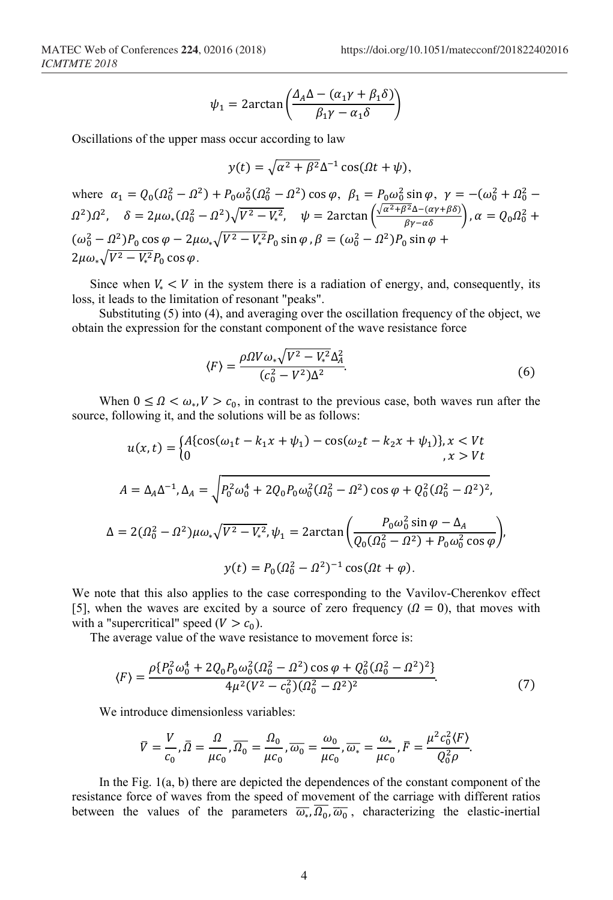$$
\psi_1 = 2\arctan\left(\frac{\Delta_A \Delta - (\alpha_1 \gamma + \beta_1 \delta)}{\beta_1 \gamma - \alpha_1 \delta}\right)
$$

Oscillations of the upper mass occur according to law

$$
y(t) = \sqrt{\alpha^2 + \beta^2} \Delta^{-1} \cos(\Omega t + \psi),
$$

where  $\alpha_1 = Q_0(\Omega_0^2 - \Omega^2) + P_0 \omega_0^2(\Omega_0^2 - \Omega^2) \cos \varphi$ ,  $\beta_1 = P_0 \omega_0^2 \sin \varphi$ ,  $\gamma = -(\omega_0^2 + \Omega_0^2 - \Omega^2)$  $\Omega^2$ ) $\Omega^2$ ,  $\delta = 2\mu\omega_* (\Omega_0^2 - \Omega^2)\sqrt{V^2 - V_*^2}$ ,  $\psi = 2\arctan\left(\frac{\sqrt{\alpha^2 + \beta^2\Delta - (\alpha \gamma + \beta \delta)}}{\beta \gamma - \alpha \delta}\right)$ ,  $\alpha = Q_0 \Omega_0^2 +$  $(\omega_0^2 - \Omega^2) P_0 \cos \varphi - 2\mu \omega_* \sqrt{V^2 - V_*^2 P_0} \sin \varphi$ ,  $\beta = (\omega_0^2 - \Omega^2) P_0 \sin \varphi +$  $2\mu\omega_*\sqrt{V^2-V_*^2P_0}\cos\varphi$ .

Since when  $V_* < V$  in the system there is a radiation of energy, and, consequently, its loss, it leads to the limitation of resonant "peaks".

Substituting (5) into (4), and averaging over the oscillation frequency of the object, we obtain the expression for the constant component of the wave resistance force

$$
\langle F \rangle = \frac{\rho \Omega V \omega_* \sqrt{V^2 - V_*^2} \Delta_A^2}{(c_0^2 - V^2) \Delta^2}.
$$
\n
$$
(6)
$$

When  $0 \leq \Omega < \omega_*$ ,  $V > c_0$ , in contrast to the previous case, both waves run after the source, following it, and the solutions will be as follows:

$$
u(x,t) = \begin{cases} A\{\cos(\omega_1 t - k_1 x + \psi_1) - \cos(\omega_2 t - k_2 x + \psi_1)\}, x < Vt \\ 0, x > Vt \end{cases}
$$
\n
$$
A = \Delta_A \Delta^{-1}, \Delta_A = \sqrt{P_0^2 \omega_0^4 + 2Q_0 P_0 \omega_0^2 (Q_0^2 - \Omega^2) \cos \varphi + Q_0^2 (Q_0^2 - \Omega^2)^2},
$$
\n
$$
\Delta = 2(Q_0^2 - \Omega^2)\mu \omega_* \sqrt{V^2 - V_*^2}, \psi_1 = 2 \arctan\left(\frac{P_0 \omega_0^2 \sin \varphi - \Delta_A}{Q_0 (Q_0^2 - \Omega^2) + P_0 \omega_0^2 \cos \varphi}\right),
$$
\n
$$
y(t) = P_0 (Q_0^2 - \Omega^2)^{-1} \cos(\Omega t + \varphi).
$$

We note that this also applies to the case corresponding to the Vavilov-Cherenkov effect [5], when the waves are excited by a source of zero frequency  $(2 = 0)$ , that moves with with a "supercritical" speed  $(V > c_0)$ .

The average value of the wave resistance to movement force is:

$$
\langle F \rangle = \frac{\rho \{ P_0^2 \omega_0^4 + 2Q_0 P_0 \omega_0^2 (\Omega_0^2 - \Omega^2) \cos \varphi + Q_0^2 (\Omega_0^2 - \Omega^2)^2 \}}{4\mu^2 (V^2 - c_0^2)(\Omega_0^2 - \Omega^2)^2}.
$$
\n<sup>(7)</sup>

We introduce dimensionless variables:

$$
\overline{V} = \frac{V}{c_0}, \overline{\Omega} = \frac{\Omega}{\mu c_0}, \overline{\Omega_0} = \frac{\Omega_0}{\mu c_0}, \overline{\omega_0} = \frac{\omega_0}{\mu c_0}, \overline{\omega_*} = \frac{\omega_*}{\mu c_0}, \overline{F} = \frac{\mu^2 c_0^2 \langle F \rangle}{Q_0^2 \rho}.
$$

In the Fig. 1(a, b) there are depicted the dependences of the constant component of the resistance force of waves from the speed of movement of the carriage with different ratios between the values of the parameters  $\overline{\omega_*}, \overline{\Omega_0}, \overline{\omega_0}$ , characterizing the elastic-inertial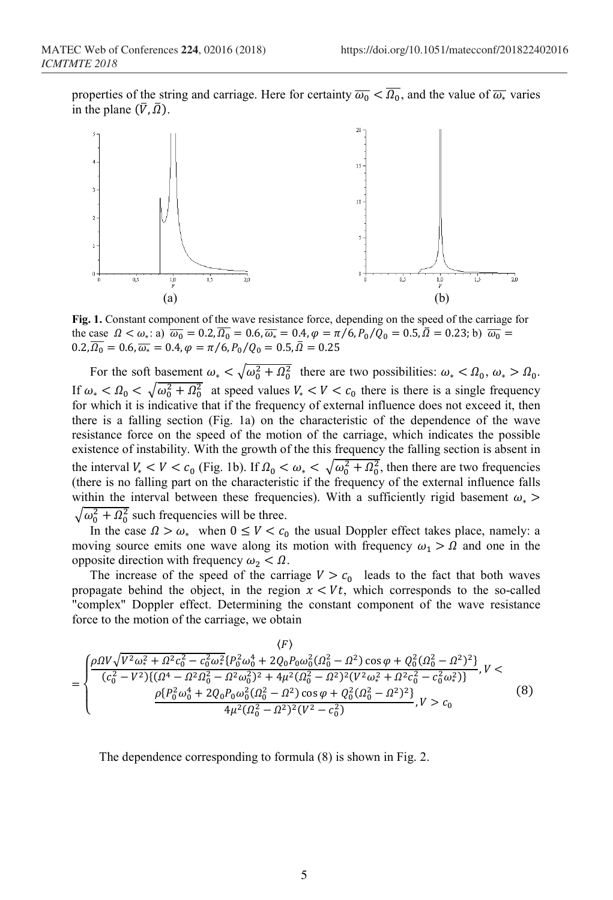properties of the string and carriage. Here for certainty  $\overline{\omega_0} < \Omega_0$ , and the value of  $\overline{\omega_*}$  varies in the plane  $(\bar{V}, \bar{\Omega})$ .



**Fig. 1.** Constant component of the wave resistance force, depending on the speed of the carriage for the case  $\Omega < \omega_*$ : a)  $\overline{\omega_0} = 0.2$ ,  $\Omega_0 = 0.6$ ,  $\overline{\omega_*} = 0.4$ ,  $\varphi = \pi/6$ ,  $P_0/Q_0 = 0.5$ ,  $\Omega = 0.23$ ; b)  $\overline{\omega_0} = 0.23$  $0.2, \Omega_0 = 0.6, \overline{\omega_*} = 0.4, \varphi = \pi/6, P_0/Q_0 = 0.5, \Omega = 0.25$ 

For the soft basement  $\omega_* < \sqrt{\omega_0^2 + \Omega_0^2}$  there are two possibilities:  $\omega_* < \Omega_0$ ,  $\omega_* > \Omega_0$ . If  $\omega_* < \Omega_0 < \sqrt{\omega_0^2 + \Omega_0^2}$  at speed values  $V_* < V < c_0$  there is there is a single frequency for which it is indicative that if the frequency of external influence does not exceed it, then there is a falling section (Fig. 1a) on the characteristic of the dependence of the wave resistance force on the speed of the motion of the carriage, which indicates the possible existence of instability. With the growth of the this frequency the falling section is absent in the interval  $V_* < V < c_0$  (Fig. 1b). If  $\Omega_0 < \omega_* < \sqrt{\omega_0^2 + \Omega_0^2}$ , then there are two frequencies (there is no falling part on the characteristic if the frequency of the external influence falls within the interval between these frequencies). With a sufficiently rigid basement  $\omega_*$  >  $\sqrt{\omega_0^2 + \Omega_0^2}$  such frequencies will be three.

In the case  $\Omega > \omega_*$  when  $0 \le V < c_0$  the usual Doppler effect takes place, namely: a moving source emits one wave along its motion with frequency  $\omega_1 > \Omega$  and one in the opposite direction with frequency  $\omega_2 < \Omega$ .

The increase of the speed of the carriage  $V > c_0$  leads to the fact that both waves propagate behind the object, in the region  $x \leq Vt$ , which corresponds to the so-called "complex" Doppler effect. Determining the constant component of the wave resistance force to the motion of the carriage, we obtain

$$
= \begin{cases} \frac{\rho \Omega V \sqrt{V^2 \omega_*^2 + \Omega^2 c_0^2 - c_0^2 \omega_*^2} \{P_0^2 \omega_0^4 + 2Q_0 P_0 \omega_0^2 (\Omega_0^2 - \Omega^2) \cos \varphi + Q_0^2 (\Omega_0^2 - \Omega^2)^2\}}{(c_0^2 - V^2) \{(\Omega^4 - \Omega^2 \Omega_0^2 - \Omega^2 \omega_0^2)^2 + 4\mu^2 (\Omega_0^2 - \Omega^2)^2 (V^2 \omega_*^2 + \Omega^2 c_0^2 - c_0^2 \omega_*^2)\}} & , V < \\ \frac{\rho \{P_0^2 \omega_0^4 + 2Q_0 P_0 \omega_0^2 (\Omega_0^2 - \Omega^2) \cos \varphi + Q_0^2 (\Omega_0^2 - \Omega^2)^2\}}{4\mu^2 (\Omega_0^2 - \Omega^2)^2 (V^2 - c_0^2)}, & V > c_0 \end{cases} \tag{8}
$$

The dependence corresponding to formula (8) is shown in Fig. 2.